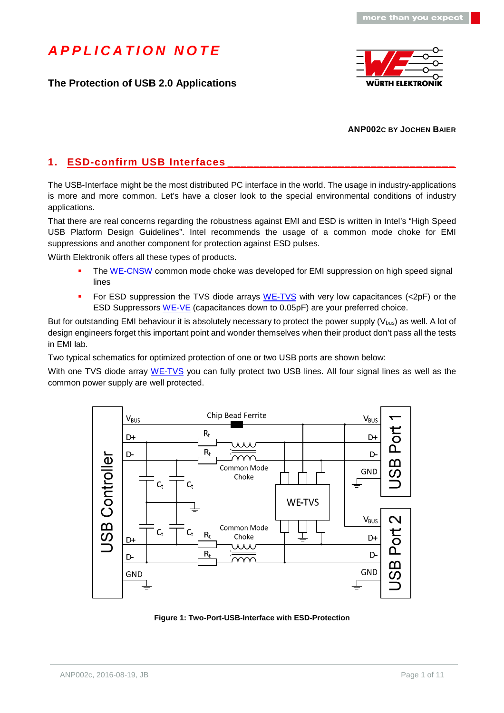### **The Protection of USB 2.0 Applications**



#### **ANP002C BY JOCHEN BAIER**

## 1. **ESD-confirm USB Interfaces**

The USB-Interface might be the most distributed PC interface in the world. The usage in industry-applications is more and more common. Let's have a closer look to the special environmental conditions of industry applications.

That there are real concerns regarding the robustness against EMI and ESD is written in Intel's "High Speed USB Platform Design Guidelines". Intel recommends the usage of a common mode choke for EMI suppressions and another component for protection against ESD pulses.

Würth Elektronik offers all these types of products.

- The [WE-CNSW](http://katalog.we-online.de/en/pbs/WE-CNSW) common mode choke was developed for EMI suppression on high speed signal lines
- For ESD suppression the TVS diode arrays [WE-TVS](http://katalog.we-online.de/en/pbs/WE-TVS_Standard) with very low capacitances (<2pF) or the ESD Suppressors [WE-VE](http://katalog.we-online.de/en/pbs/WE-VE) (capacitances down to 0.05pF) are your preferred choice.

But for outstanding EMI behaviour it is absolutely necessary to protect the power supply  $(V_{bus})$  as well. A lot of design engineers forget this important point and wonder themselves when their product don't pass all the tests in EMI lab.

Two typical schematics for optimized protection of one or two USB ports are shown below:

With one TVS diode array [WE-TVS](http://katalog.we-online.de/en/pbs/WE-TVS_Standard) you can fully protect two USB lines. All four signal lines as well as the common power supply are well protected.



**Figure 1: Two-Port-USB-Interface with ESD-Protection**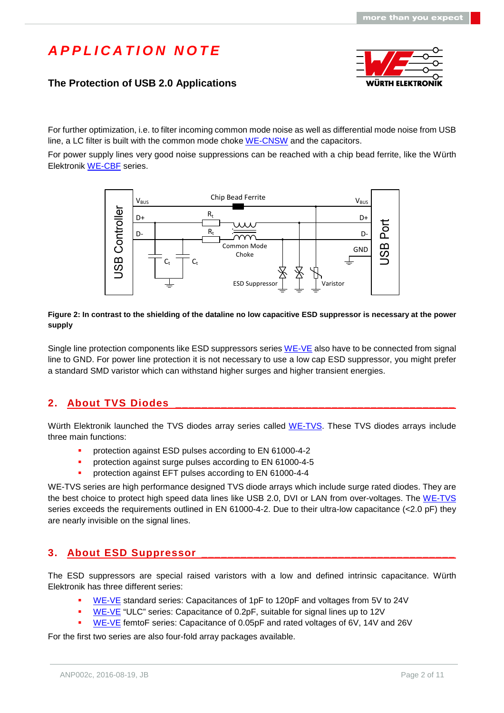### **The Protection of USB 2.0 Applications**



For further optimization, i.e. to filter incoming common mode noise as well as differential mode noise from USB line, a LC filter is built with the common mode choke [WE-CNSW](http://katalog.we-online.de/en/pbs/WE-CNSW) and the capacitors.

For power supply lines very good noise suppressions can be reached with a chip bead ferrite, like the Würth Elektronik [WE-CBF](http://katalog.we-online.de/en/pbs/WE-CBF) series.



#### **Figure 2: In contrast to the shielding of the dataline no low capacitive ESD suppressor is necessary at the power supply**

Single line protection components like ESD suppressors series [WE-VE](http://katalog.we-online.de/en/pbs/WE-VE) also have to be connected from signal line to GND. For power line protection it is not necessary to use a low cap ESD suppressor, you might prefer a standard SMD varistor which can withstand higher surges and higher transient energies.

### **2. About TVS Diodes \_\_\_\_\_\_\_\_\_\_\_\_\_\_\_\_\_\_\_\_\_\_\_\_\_\_\_\_\_\_\_\_\_\_\_\_\_\_\_\_\_\_\_**

Würth Elektronik launched the TVS diodes array series called [WE-TVS](http://katalog.we-online.de/en/pbs/WE-TVS_Standard). These TVS diodes arrays include three main functions:

- protection against ESD pulses according to EN 61000-4-2
- protection against surge pulses according to EN 61000-4-5
- protection against EFT pulses according to EN 61000-4-4

WE-TVS series are high performance designed TVS diode arrays which include surge rated diodes. They are the best choice to protect high speed data lines like USB 2.0, DVI or LAN from over-voltages. The [WE-TVS](http://katalog.we-online.de/en/pbs/WE-TVS_Standard) series exceeds the requirements outlined in EN 61000-4-2. Due to their ultra-low capacitance (<2.0 pF) they are nearly invisible on the signal lines.

### **3. About ESD Suppressor**

The ESD suppressors are special raised varistors with a low and defined intrinsic capacitance. Würth Elektronik has three different series:

- [WE-VE](http://katalog.we-online.de/en/pbs/WE-VE) standard series: Capacitances of 1pF to 120pF and voltages from 5V to 24V
- [WE-VE](http://katalog.we-online.de/en/pbs/WE-VE) "ULC" series: Capacitance of 0.2pF, suitable for signal lines up to 12V
- [WE-VE](http://katalog.we-online.de/en/pbs/WE-VE) femtoF series: Capacitance of 0.05pF and rated voltages of 6V, 14V and 26V

For the first two series are also four-fold array packages available.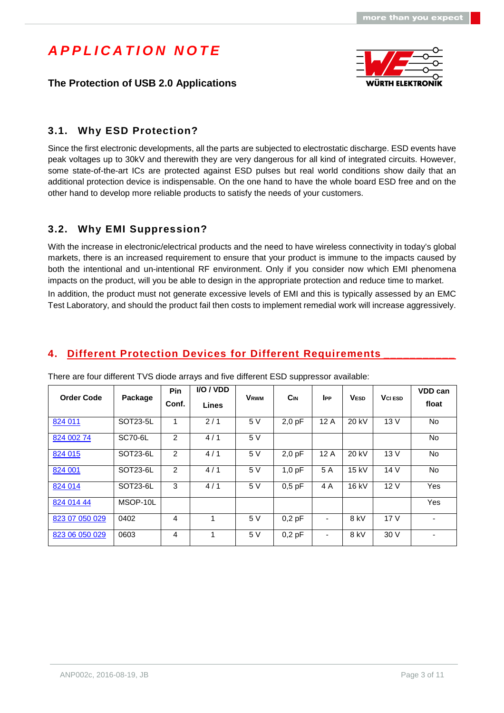



### **3.1. Why ESD Protection?**

Since the first electronic developments, all the parts are subjected to electrostatic discharge. ESD events have peak voltages up to 30kV and therewith they are very dangerous for all kind of integrated circuits. However, some state-of-the-art ICs are protected against ESD pulses but real world conditions show daily that an additional protection device is indispensable. On the one hand to have the whole board ESD free and on the other hand to develop more reliable products to satisfy the needs of your customers.

### **3.2. Why EMI Suppression?**

With the increase in electronic/electrical products and the need to have wireless connectivity in today's global markets, there is an increased requirement to ensure that your product is immune to the impacts caused by both the intentional and un-intentional RF environment. Only if you consider now which EMI phenomena impacts on the product, will you be able to design in the appropriate protection and reduce time to market.

In addition, the product must not generate excessive levels of EMI and this is typically assessed by an EMC Test Laboratory, and should the product fail then costs to implement remedial work will increase aggressively.

### **4. Different Protection Devices for Different Requirements**

| <b>Order Code</b> | Package               | Pin<br>Conf.   | <b>I/O / VDD</b><br><b>Lines</b> | <b>VRWM</b> | <b>C</b> <sub>IN</sub> | <b>IPP</b> | <b>VESD</b> | <b>V</b> CI ESD | <b>VDD can</b><br>float  |
|-------------------|-----------------------|----------------|----------------------------------|-------------|------------------------|------------|-------------|-----------------|--------------------------|
| 824 011           | SOT23-5L              | 1              | 2/1                              | 5 V         | $2,0$ pF               | 12A        | 20 kV       | 13V             | No.                      |
| 824 002 74        | SC70-6L               | $\mathfrak{p}$ | 4/1                              | 5 V         |                        |            |             |                 | <b>No</b>                |
| 824 015           | SOT23-6L              | $\overline{2}$ | 4/1                              | 5 V         | $2,0$ pF               | 12A        | 20 kV       | 13V             | <b>No</b>                |
| 824 001           | SOT <sub>23-6</sub> L | 2              | 4/1                              | 5 V         | 1.0 <sub>pF</sub>      | 5 A        | 15 kV       | 14 V            | No.                      |
| 824 014           | SOT <sub>23-6</sub> L | 3              | 4/1                              | 5 V         | $0.5$ pF               | 4 A        | 16 kV       | 12V             | Yes                      |
| 824 014 44        | MSOP-10L              |                |                                  |             |                        |            |             |                 | Yes                      |
| 823 07 050 029    | 0402                  | 4              | 1                                | 5 V         | 0.2pF                  | ۰          | 8 kV        | 17 <sub>V</sub> | $\overline{\phantom{0}}$ |
| 823 06 050 029    | 0603                  | 4              | 1                                | 5 V         | $0,2$ pF               |            | 8 kV        | 30V             | ۰                        |

There are four different TVS diode arrays and five different ESD suppressor available: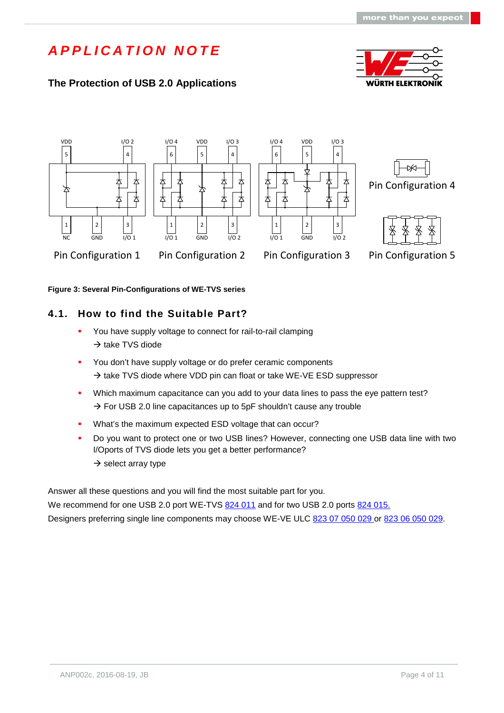## **The Protection of USB 2.0 Applications**













Pin Configuration 1 Pin Configuration 2 Pin Configuration 3

Pin Configuration 5

**Figure 3: Several Pin-Configurations of WE-TVS series**

### **4.1. How to find the Suitable Part?**

- You have supply voltage to connect for rail-to-rail clamping  $\rightarrow$  take TVS diode
- You don't have supply voltage or do prefer ceramic components  $\rightarrow$  take TVS diode where VDD pin can float or take WE-VE ESD suppressor
- Which maximum capacitance can you add to your data lines to pass the eye pattern test?  $\rightarrow$  For USB 2.0 line capacitances up to 5pF shouldn't cause any trouble
- What's the maximum expected ESD voltage that can occur?
- Do you want to protect one or two USB lines? However, connecting one USB data line with two I/Oports of TVS diode lets you get a better performance?  $\rightarrow$  select array type

Answer all these questions and you will find the most suitable part for you.

We recommend for one USB 2.0 port WE-TVS [824 011](http://katalog.we-online.de/en/pbs/WE-TVS_High_Speed/S/824011) and for two USB 2.0 ports 824 015. Designers preferring single line components may choose WE-VE ULC [823 07 050 029](http://katalog.we-online.de/en/pbs/WE-VE_ULC/82307050029) or [823 06 050 029.](http://katalog.we-online.de/en/pbs/WE-VE_ULC/82306050029)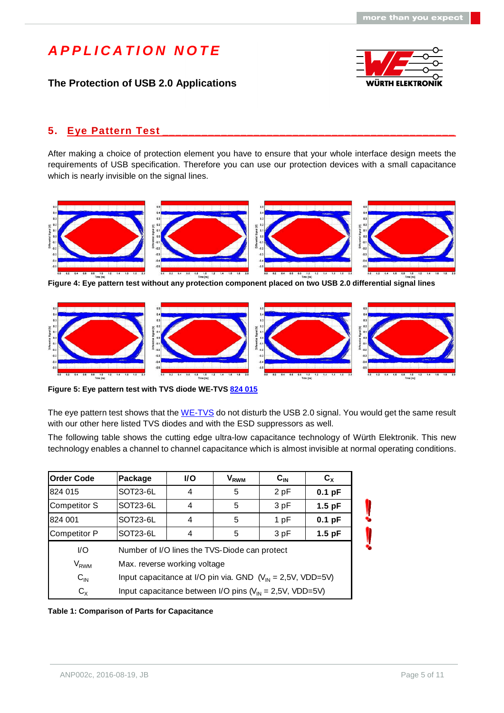### **The Protection of USB 2.0 Applications**



#### **5. Eye Pattern Test \_\_\_\_\_\_\_\_\_\_\_\_\_\_\_\_\_\_\_\_\_\_\_\_\_\_\_\_\_\_\_\_\_\_\_\_\_\_\_\_\_\_\_\_\_**

After making a choice of protection element you have to ensure that your whole interface design meets the requirements of USB specification. Therefore you can use our protection devices with a small capacitance which is nearly invisible on the signal lines.



**Figure 4: Eye pattern test without any protection component placed on two USB 2.0 differential signal lines**



**Figure 5: Eye pattern test with TVS diode WE-TVS [824 015](http://katalog.we-online.de/en/pbs/WE-TVS_High_Speed/824015)**

The eye pattern test shows that the [WE-TVS](http://katalog.we-online.de/en/pbs/WE-TVS_standard) do not disturb the USB 2.0 signal. You would get the same result with our other here listed TVS diodes and with the ESD suppressors as well.

The following table shows the cutting edge ultra-low capacitance technology of Würth Elektronik. This new technology enables a channel to channel capacitance which is almost invisible at normal operating conditions.

| <b>Order Code</b><br>Package |                                                                        | <b>I/O</b> | $\mathsf{V}_{\mathsf{RWM}}$ | $C_{IN}$ | $C_{x}$  |  |  |
|------------------------------|------------------------------------------------------------------------|------------|-----------------------------|----------|----------|--|--|
| 824 015                      | SOT23-6L                                                               | 4          | 5                           | 2pF      | $0.1$ pF |  |  |
| <b>Competitor S</b>          | SOT23-6L                                                               | 4          | 5                           | 3 pF     | $1.5$ pF |  |  |
| 824 001                      | SOT23-6L                                                               | 4          | 5                           | 1pF      | $0.1$ pF |  |  |
| <b>Competitor P</b>          | SOT23-6L                                                               | 4          | 5                           | 3 pF     | $1.5$ pF |  |  |
| $\mathsf{U}\mathsf{O}$       | Number of I/O lines the TVS-Diode can protect                          |            |                             |          |          |  |  |
| V <sub>RWM</sub>             | Max. reverse working voltage                                           |            |                             |          |          |  |  |
| $C_{IN}$                     | Input capacitance at I/O pin via. GND $(V_{\text{IN}} = 2.5V, VDD=5V)$ |            |                             |          |          |  |  |
| $C_{X}$                      | Input capacitance between I/O pins ( $V_{IN} = 2,5V$ , VDD=5V)         |            |                             |          |          |  |  |

**Table 1: Comparison of Parts for Capacitance**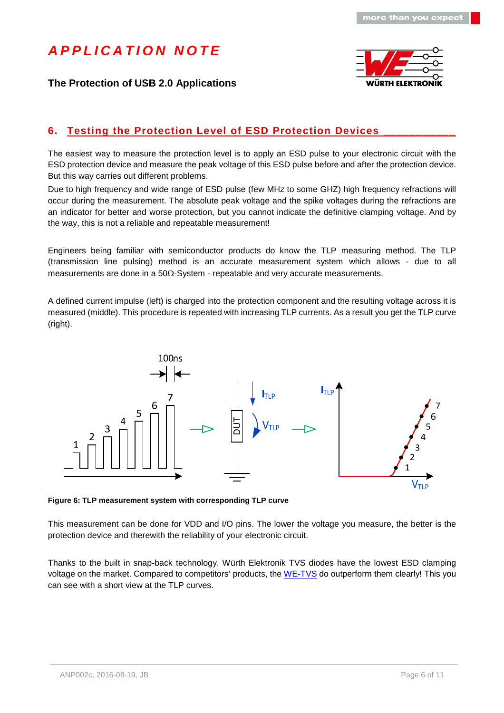



### **Festing the Protection Level of ESD Protection Devices**

The easiest way to measure the protection level is to apply an ESD pulse to your electronic circuit with the ESD protection device and measure the peak voltage of this ESD pulse before and after the protection device. But this way carries out different problems.

Due to high frequency and wide range of ESD pulse (few MHz to some GHZ) high frequency refractions will occur during the measurement. The absolute peak voltage and the spike voltages during the refractions are an indicator for better and worse protection, but you cannot indicate the definitive clamping voltage. And by the way, this is not a reliable and repeatable measurement!

Engineers being familiar with semiconductor products do know the TLP measuring method. The TLP (transmission line pulsing) method is an accurate measurement system which allows - due to all measurements are done in a  $50\Omega$ -System - repeatable and very accurate measurements.

A defined current impulse (left) is charged into the protection component and the resulting voltage across it is measured (middle). This procedure is repeated with increasing TLP currents. As a result you get the TLP curve (right).



**Figure 6: TLP measurement system with corresponding TLP curve**

This measurement can be done for VDD and I/O pins. The lower the voltage you measure, the better is the protection device and therewith the reliability of your electronic circuit.

Thanks to the built in snap-back technology, Würth Elektronik TVS diodes have the lowest ESD clamping voltage on the market. Compared to competitors' products, the [WE-TVS](http://katalog.we-online.de/en/pbs/WE-TVS_Standard) do outperform them clearly! This you can see with a short view at the TLP curves.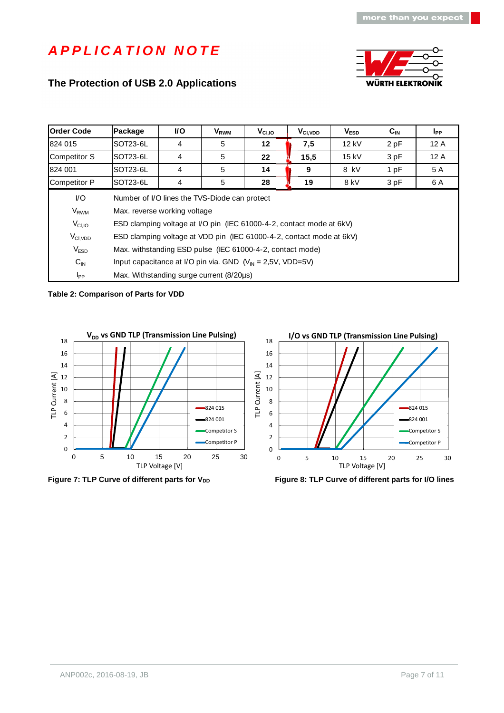### **The Protection of USB 2.0 Applications**



| <b>Order Code</b>   | Package                                                                          | I/O                                                                  | V <sub>RWM</sub> | $V_{CI,IO}$ | $V_{\text{Cl,VDD}}$ | V <sub>ESD</sub> | $C_{IN}$        | $I_{PP}$ |  |  |
|---------------------|----------------------------------------------------------------------------------|----------------------------------------------------------------------|------------------|-------------|---------------------|------------------|-----------------|----------|--|--|
| 824 015             | SOT23-6L                                                                         | 4                                                                    | 5                | $12 \,$     | 7,5                 | 12 kV            | 2 pF            | 12 A     |  |  |
| <b>Competitor S</b> | SOT23-6L                                                                         | 4                                                                    | 5                | 22          | 15,5                | 15 kV            | 3 pF            | 12 A     |  |  |
| 824 001             | SOT23-6L                                                                         | 4                                                                    | 5                | 14          | 9                   | 8 kV             | 1 <sub>pF</sub> | 5 A      |  |  |
| <b>Competitor P</b> | SOT23-6L                                                                         | 4                                                                    | 5                | 28          | 19                  | 8 kV             | 3pF             | 6 A      |  |  |
| VO.                 |                                                                                  | Number of I/O lines the TVS-Diode can protect                        |                  |             |                     |                  |                 |          |  |  |
| V <sub>RWM</sub>    | Max. reverse working voltage                                                     |                                                                      |                  |             |                     |                  |                 |          |  |  |
| $V_{CI,IO}$         |                                                                                  | ESD clamping voltage at I/O pin (IEC 61000-4-2, contact mode at 6kV) |                  |             |                     |                  |                 |          |  |  |
| $V_{\text{CI,VDD}}$ | ESD clamping voltage at VDD pin (IEC 61000-4-2, contact mode at 6kV)             |                                                                      |                  |             |                     |                  |                 |          |  |  |
| V <sub>ESD</sub>    | Max. withstanding ESD pulse (IEC 61000-4-2, contact mode)                        |                                                                      |                  |             |                     |                  |                 |          |  |  |
| $C_{\text{IN}}$     | Input capacitance at I/O pin via. GND $(V_{\text{IN}} = 2.5V, \text{ VDD} = 5V)$ |                                                                      |                  |             |                     |                  |                 |          |  |  |
| $I_{PP}$            | Max. Withstanding surge current (8/20µs)                                         |                                                                      |                  |             |                     |                  |                 |          |  |  |

#### **Table 2: Comparison of Parts for VDD**



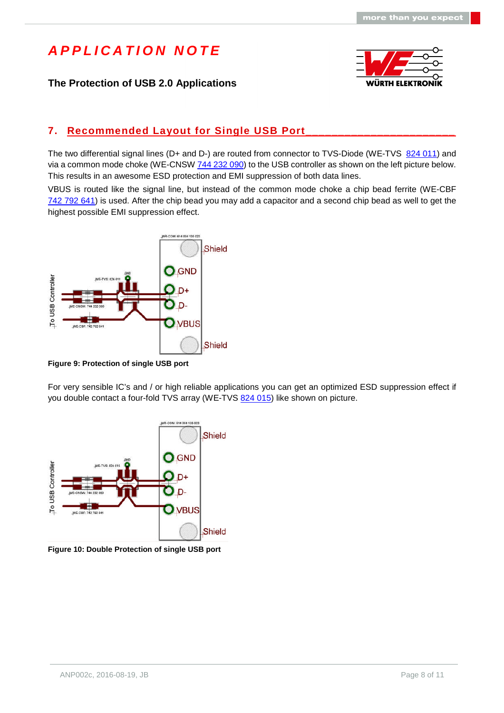### **The Protection of USB 2.0 Applications**



### **7. Recommended Layout for Single USB Port**

The two differential signal lines (D+ and D-) are routed from connector to TVS-Diode (WE-TVS [824 011\)](http://katalog.we-online.de/en/pbs/WE-TVS_High_Speed/S/824011) and via a common mode choke (WE-CNSW [744 232 090\)](http://katalog.we-online.de/en/pbs/WE-CNSW/744232090) to the USB controller as shown on the left picture below. This results in an awesome ESD protection and EMI suppression of both data lines.

VBUS is routed like the signal line, but instead of the common mode choke a chip bead ferrite (WE-CBF [742 792 641\)](http://katalog.we-online.de/en/pbs/WE-CBF/742792641) is used. After the chip bead you may add a capacitor and a second chip bead as well to get the highest possible EMI suppression effect.



**Figure 9: Protection of single USB port**

For very sensible IC's and / or high reliable applications you can get an optimized ESD suppression effect if you double contact a four-fold TVS array (WE-TVS [824 015](http://katalog.we-online.de/en/pbs/WE-TVS_High_Speed/824015)) like shown on picture.



**Figure 10: Double Protection of single USB port**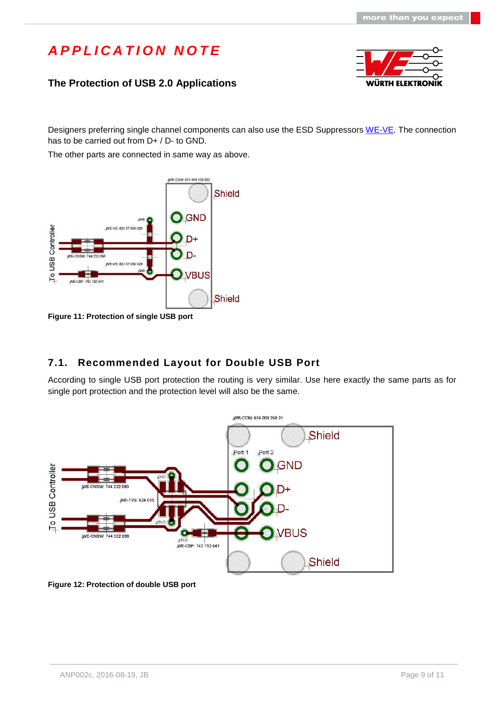### **The Protection of USB 2.0 Applications**



Designers preferring single channel components can also use the ESD Suppressors [WE-VE.](http://katalog.we-online.de/en/pbs/WE-VE) The connection has to be carried out from D+ / D- to GND.

The other parts are connected in same way as above.



**Figure 11: Protection of single USB port**

### **7.1. Recommended Layout for Double USB Port**

According to single USB port protection the routing is very similar. Use here exactly the same parts as for single port protection and the protection level will also be the same.



**Figure 12: Protection of double USB port**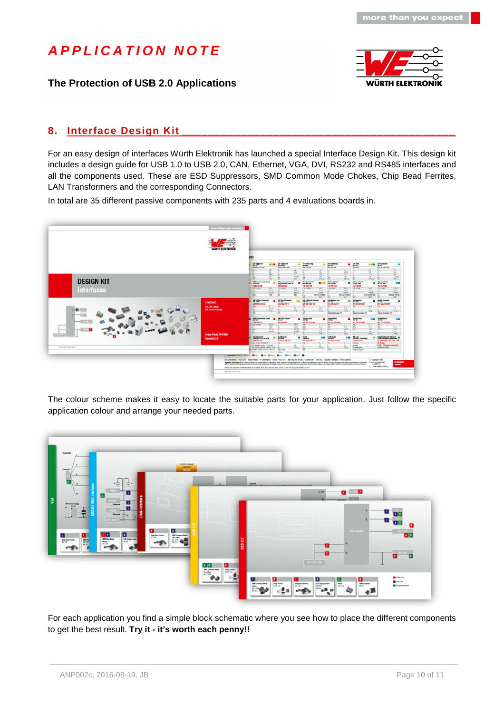**The Protection of USB 2.0 Applications**



#### **8. Interface Design Kit**

For an easy design of interfaces Würth Elektronik has launched a special Interface Design Kit. This design kit includes a design guide for USB 1.0 to USB 2.0, CAN, Ethernet, VGA, DVI, RS232 and RS485 interfaces and all the components used. These are ESD Suppressors, SMD Common Mode Chokes, Chip Bead Ferrites, LAN Transformers and the corresponding Connectors.

In total are 35 different passive components with 235 parts and 4 evaluations boards in.



The colour scheme makes it easy to locate the suitable parts for your application. Just follow the specific application colour and arrange your needed parts.



For each application you find a simple block schematic where you see how to place the different components to get the best result. **Try it - it's worth each penny!!**